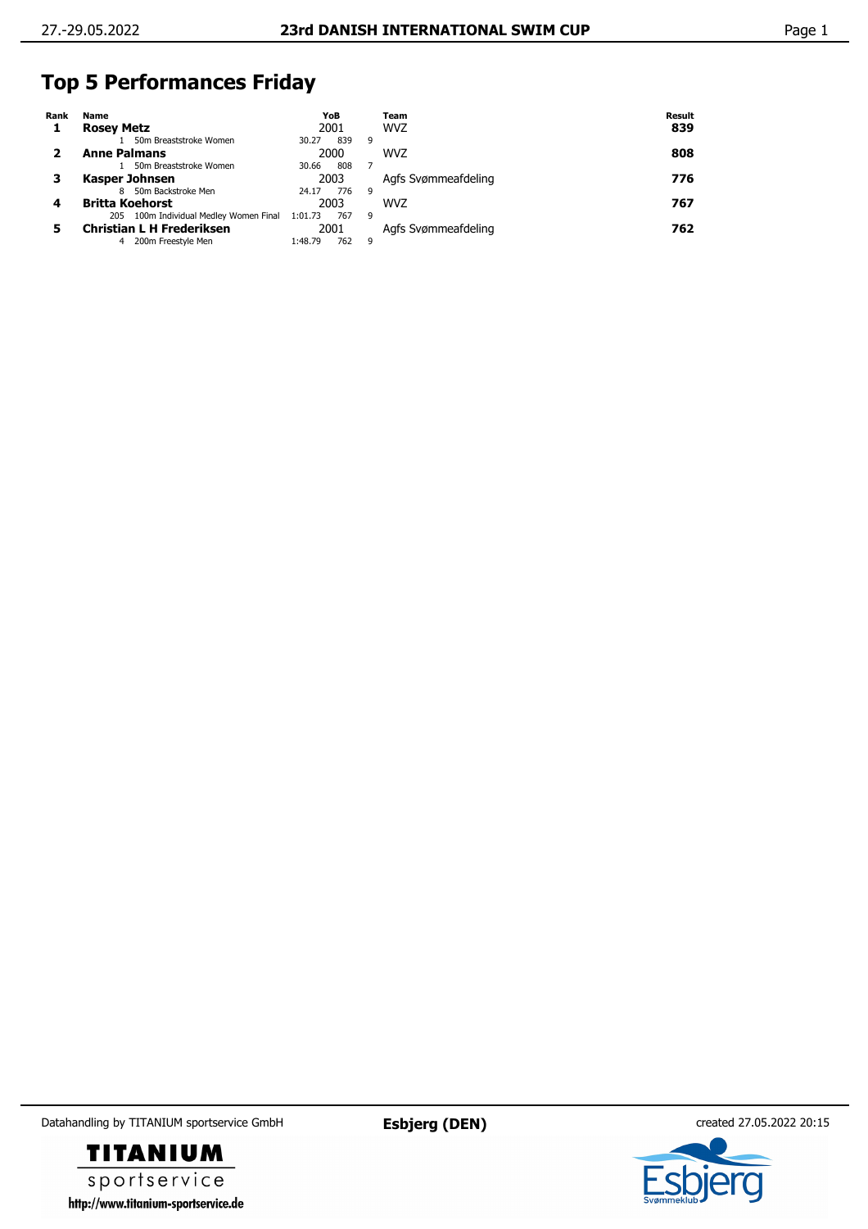## **Top 5 Performances Friday**

| Rank | Name                                      | YoB            |   | Team                | Result |
|------|-------------------------------------------|----------------|---|---------------------|--------|
|      | <b>Rosey Metz</b>                         | 2001           |   | <b>WVZ</b>          | 839    |
|      | 50m Breaststroke Women                    | 839<br>30.27   | 9 |                     |        |
|      | <b>Anne Palmans</b>                       | 2000           |   | <b>WVZ</b>          | 808    |
|      | 50m Breaststroke Women                    | 808<br>30.66   |   |                     |        |
|      | Kasper Johnsen                            | 2003           |   | Agfs Svømmeafdeling | 776    |
|      | 50m Backstroke Men<br>8                   | 776<br>24.17   | 9 |                     |        |
|      | <b>Britta Koehorst</b>                    | 2003           |   | <b>WVZ</b>          | 767    |
|      | 100m Individual Medley Women Final<br>205 | 767<br>1:01.73 | 9 |                     |        |
|      | <b>Christian L H Frederiksen</b>          | 2001           |   | Agfs Svømmeafdeling | 762    |
|      | 200m Freestyle Men<br>4                   | 762<br>1:48.79 | 9 |                     |        |

Datahandling by TITANIUM sportservice GmbH **Esbjerg (DEN)** created 27.05.2022 20:15



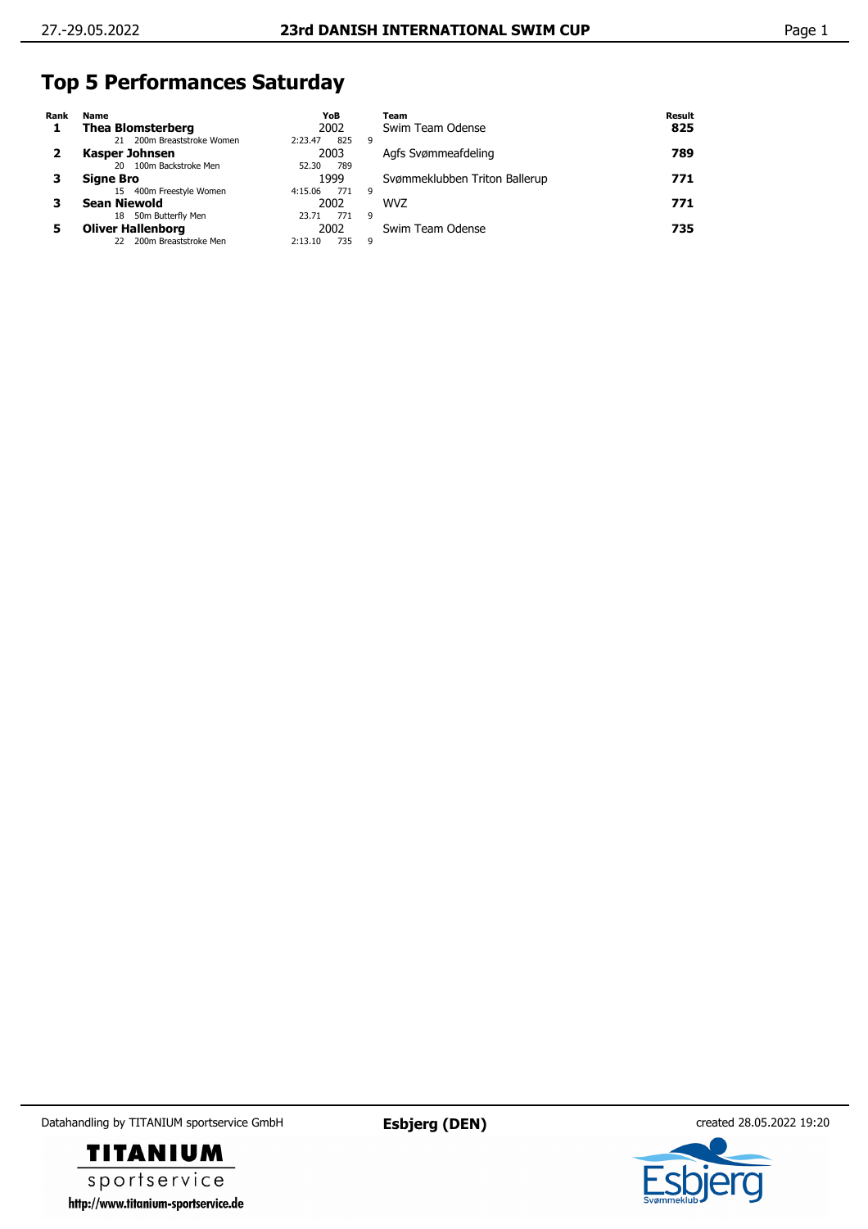## **Top 5 Performances Saturday**

| Rank | Name                        | YoB            | Team                          | <b>Result</b> |
|------|-----------------------------|----------------|-------------------------------|---------------|
|      | <b>Thea Blomsterberg</b>    | 2002           | Swim Team Odense              | 825           |
|      | 21 200m Breaststroke Women  | 825<br>2:23.47 | 9                             |               |
|      | Kasper Johnsen              | 2003           | Agfs Svømmeafdeling           | 789           |
|      | 100m Backstroke Men<br>20   | 789<br>52.30   |                               |               |
|      | <b>Signe Bro</b>            | 1999           | Svømmeklubben Triton Ballerup | 771           |
|      | 400m Freestyle Women<br>15  | 4:15.06<br>771 | 9                             |               |
|      | <b>Sean Niewold</b>         | 2002           | <b>WVZ</b>                    | 771           |
|      | 50m Butterfly Men<br>18     | 771<br>23.71   | 9                             |               |
|      | <b>Oliver Hallenborg</b>    | 2002           | Swim Team Odense              | 735           |
|      | 200m Breaststroke Men<br>22 | 735<br>2:13.10 | 9                             |               |

Datahandling by TITANIUM sportservice GmbH **Esbjerg (DEN)** created 28.05.2022 19:20

**TITANIUM** sportservice http://www.titanium-sportservice.de